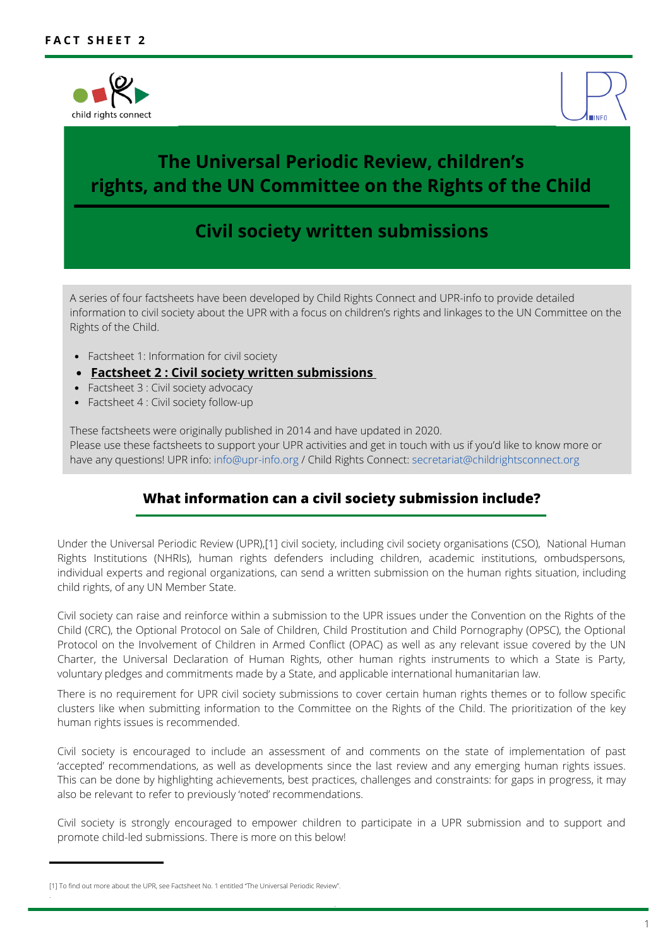



# **The Universal Periodic Review, children's rights, and the UN Committee on the Rights of the Child**

# **Civil society written submissions**

A series of four factsheets have been developed by Child Rights Connect and UPR-info to provide detailed information to civil society about the UPR with a focus on children's rights and linkages to the UN Committee on the Rights of the Child.

- Factsheet 1: Information for civil society
- **Factsheet 2 : Civil society written submissions**
- Factsheet 3 : Civil society advocacy
- Factsheet 4 : Civil society follow-up

These factsheets were originally published in 2014 and have updated in 2020. Please use these factsheets to support your UPR activities and get in touch with us if you'd like to know more or have any questions! UPR info: info@upr-info.org / Child Rights Connect: secretariat@childrightsconnect.org

#### **What information can a civil society submission include?**

Under the Universal Periodic Review (UPR),[1] civil society, including civil society organisations (CSO), National Human Rights Institutions (NHRIs), human rights defenders including children, academic institutions, ombudspersons, individual experts and regional organizations, can send a written submission on the human rights situation, including child rights, of any UN Member State.

Civil society can raise and reinforce within a submission to the UPR issues under the Convention on the Rights of the Child (CRC), the Optional Protocol on Sale of Children, Child Prostitution and Child Pornography (OPSC), the Optional Protocol on the Involvement of Children in Armed Conflict (OPAC) as well as any relevant issue covered by the UN Charter, the Universal Declaration of Human Rights, other human rights instruments to which a State is Party, voluntary pledges and commitments made by a State, and applicable international humanitarian law.

There is no requirement for UPR civil society submissions to cover certain human rights themes or to follow specific clusters like when submitting information to the Committee on the Rights of the Child. The prioritization of the key human rights issues is recommended.

Civil society is encouraged to include an assessment of and comments on the state of implementation of past 'accepted' recommendations, as well as developments since the last review and any emerging human rights issues. This can be done by highlighting achievements, best practices, challenges and constraints: for gaps in progress, it may also be relevant to refer to previously 'noted' recommendations.

Civil society is strongly encouraged to empower children to participate in a UPR submission and to support and promote child-led submissions. There is more on this below!

.

.

<sup>[1]</sup> To find out more about the UPR, see Factsheet No. 1 entitled "The Universal Periodic Review".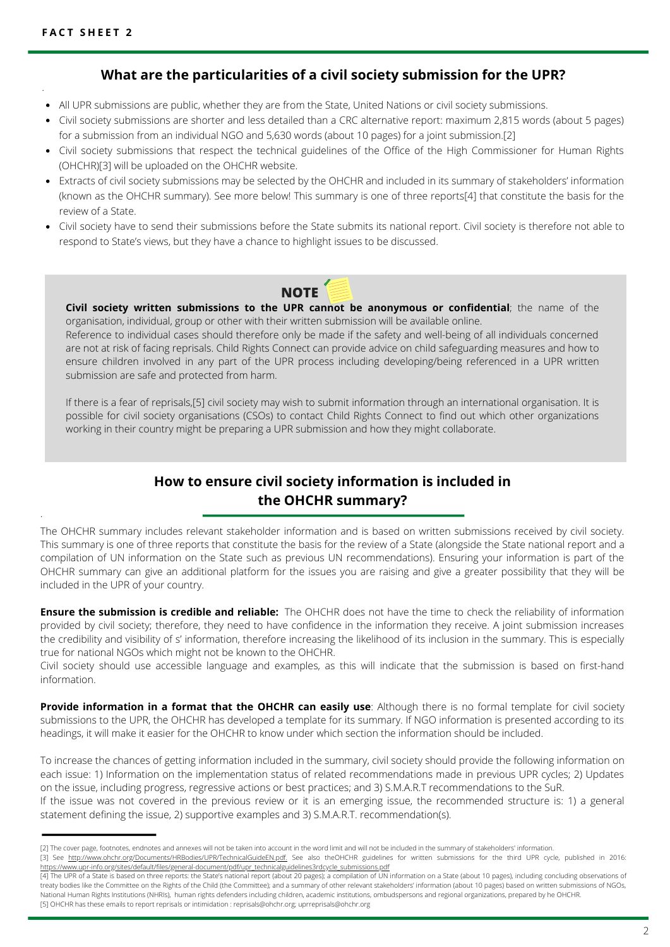·

·

#### **What are the particularities of a civil society submission for the UPR?**

- All UPR submissions are public, whether they are from the State, United Nations or civil society submissions.
- Civil society submissions are shorter and less detailed than a CRC alternative report: maximum 2,815 words (about 5 pages) for a submission from an individual NGO and 5,630 words (about 10 pages) for a joint submission.[2]
- Civil society submissions that respect the technical guidelines of the Office of the High Commissioner for Human Rights (OHCHR)[3] will be uploaded on the OHCHR website.
- Extracts of civil society submissions may be selected by the OHCHR and included in its summary of stakeholders' information (known as the OHCHR summary). See more below! This summary is one of three reports[4] that constitute the basis for the review of a State.
- Civil society have to send their submissions before the State submits its national report. Civil society is therefore not able to respond to State's views, but they have a chance to highlight issues to be discussed.

## **NOTE**

#### **Civil society written submissions to the UPR cannot be anonymous or confidential**; the name of the

organisation, individual, group or other with their written submission will be available online. Reference to individual cases should therefore only be made if the safety and well-being of all individuals concerned are not at risk of facing reprisals. Child Rights Connect can provide advice on child safeguarding measures and how to ensure children involved in any part of the UPR process including developing/being referenced in a UPR written submission are safe and protected from harm.

If there is a fear of reprisals,[5] civil society may wish to submit information through an international organisation. It is possible for civil society organisations (CSOs) to contact Child Rights Connect to find out which other organizations working in their country might be preparing a UPR submission and how they might collaborate.

## **How to ensure civil society information is included in the OHCHR summary?**

The OHCHR summary includes relevant stakeholder information and is based on written submissions received by civil society. This summary is one of three reports that constitute the basis for the review of a State (alongside the State national report and a compilation of UN information on the State such as previous UN recommendations). Ensuring your information is part of the OHCHR summary can give an additional platform for the issues you are raising and give a greater possibility that they will be included in the UPR of your country.

**Ensure the submission is credible and reliable:** The OHCHR does not have the time to check the reliability of information provided by civil society; therefore, they need to have confidence in the information they receive. A joint submission increases the credibility and visibility of s' information, therefore increasing the likelihood of its inclusion in the summary. This is especially true for national NGOs which might not be known to the OHCHR.

Civil society should use accessible language and examples, as this will indicate that the submission is based on first-hand information.

**Provide information in a format that the OHCHR can easily use**: Although there is no formal template for civil society submissions to the UPR, the OHCHR has developed a template for its summary. If NGO information is presented according to its headings, it will make it easier for the OHCHR to know under which section the information should be included.

To increase the chances of getting information included in the summary, civil society should provide the following information on each issue: 1) Information on the implementation status of related recommendations made in previous UPR cycles; 2) Updates on the issue, including progress, regressive actions or best practices; and 3) S.M.A.R.T recommendations to the SuR.

If the issue was not covered in the previous review or it is an emerging issue, the recommended structure is: 1) a general statement defining the issue, 2) supportive examples and 3) S.M.A.R.T. recommendation(s).

<sup>[2]</sup> The cover page, footnotes, endnotes and annexes will not be taken into account in the word limit and will not be included in the summary of stakeholders' information.

<sup>[3]</sup> See [http://www.ohchr.org/Documents/HRBodies/UPR/TechnicalGuideEN.pdf.](http://www.ohchr.org/Documents/HRBodies/UPR/TechnicalGuideEN.pdf) See also theOHCHR guidelines for written submissions for the third UPR cycle, published in 2016: [https://www.upr-info.org/sites/default/files/general-document/pdf/upr\\_technicalguidelines3rdcycle\\_submissions.pdf](https://www.upr-info.org/sites/default/files/general-document/pdf/upr_technicalguidelines3rdcycle_submissions.pdf)

<sup>[4]</sup> The UPR of a State is based on three reports: the State's national report (about 20 pages); a compilation of UN information on a State (about 10 pages), including concluding observations of treaty bodies like the Committee on the Rights of the Child (the Committee); and a summary of other relevant stakeholders' information (about 10 pages) based on written submissions of NGOs, National Human Rights Institutions (NHRIs), human rights defenders including children, academic institutions, ombudspersons and regional organizations, prepared by he OHCHR. [5] OHCHR has these emails to report reprisals or intimidation : reprisals@ohchr.org; uprreprisals@ohchr.org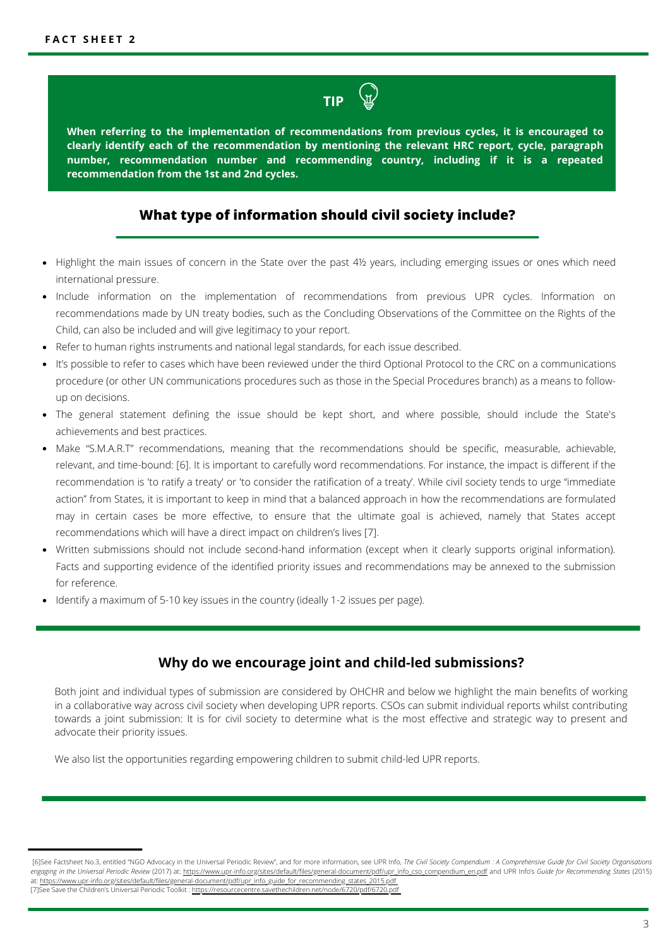# **TIP**

**When referring to the implementation of recommendations from previous cycles, it is encouraged to clearly identify each of the recommendation by mentioning the relevant HRC report, cycle, paragraph number, recommendation number and recommending country, including if it is a repeated recommendation from the 1st and 2nd cycles.**

#### **What type of information should civil society include?**

- Highlight the main issues of concern in the State over the past 4½ years, including emerging issues or ones which need international pressure.
- Include information on the implementation of recommendations from previous UPR cycles. Information on recommendations made by UN treaty bodies, such as the Concluding Observations of the Committee on the Rights of the Child, can also be included and will give legitimacy to your report.
- Refer to human rights instruments and national legal standards, for each issue described.
- It's possible to refer to cases which have been reviewed under the third Optional Protocol to the CRC on a communications procedure (or other UN communications procedures such as those in the Special Procedures branch) as a means to followup on decisions.
- The general statement defining the issue should be kept short, and where possible, should include the State's achievements and best practices.
- Make "S.M.A.R.T" recommendations, meaning that the recommendations should be specific, measurable, achievable, relevant, and time-bound: [6]. It is important to carefully word recommendations. For instance, the impact is different if the recommendation is 'to ratify a treaty' or 'to consider the ratification of a treaty'. While civil society tends to urge "immediate action" from States, it is important to keep in mind that a balanced approach in how the recommendations are formulated may in certain cases be more effective, to ensure that the ultimate goal is achieved, namely that States accept recommendations which will have a direct impact on children's lives [7].
- Written submissions should not include second-hand information (except when it clearly supports original information). Facts and supporting evidence of the identified priority issues and recommendations may be annexed to the submission for reference.
- Identify a maximum of 5-10 key issues in the country (ideally 1-2 issues per page).

#### **Why do we encourage joint and child-led submissions?**

Both joint and individual types of submission are considered by OHCHR and below we highlight the main benefits of working in a collaborative way across civil society when developing UPR reports. CSOs can submit individual reports whilst contributing towards a joint submission: It is for civil society to determine what is the most effective and strategic way to present and advocate their priority issues.

We also list the opportunities regarding empowering children to submit child-led UPR reports.

<sup>[6]</sup>See Factsheet No.3, entitled "NGO Advocacy in the Universal Periodic Review", and for more information, see UPR Info, *The Civil Society Compendium : A Comprehensive Guide for Civil Society Organisations* engaging in the Universal Periodic Review (2017) at: [https://www.upr-info.org/sites/default/files/general-document/pdf/upr\\_info\\_cso\\_compendium\\_en.pdf](https://www.upr-info.org/sites/default/files/general-document/pdf/upr_info_cso_compendium_en.pdf) and UPR\_Info's *Guide for Recommending States* (2015) at: [https://www.upr-info.org/sites/default/files/general-document/pdf/upr\\_info\\_guide\\_for\\_recommending\\_states\\_2015.pdf](https://www.upr-info.org/sites/default/files/general-document/pdf/upr_info_guide_for_recommending_states_2015.pdf)<br>[7] See Save the Children's Universal Periodic Toolkit: https://resourcecentre.savethechildren.net/node/

<sup>[7]</sup>See Save the Children's Universal Periodic Toolkit : https://resource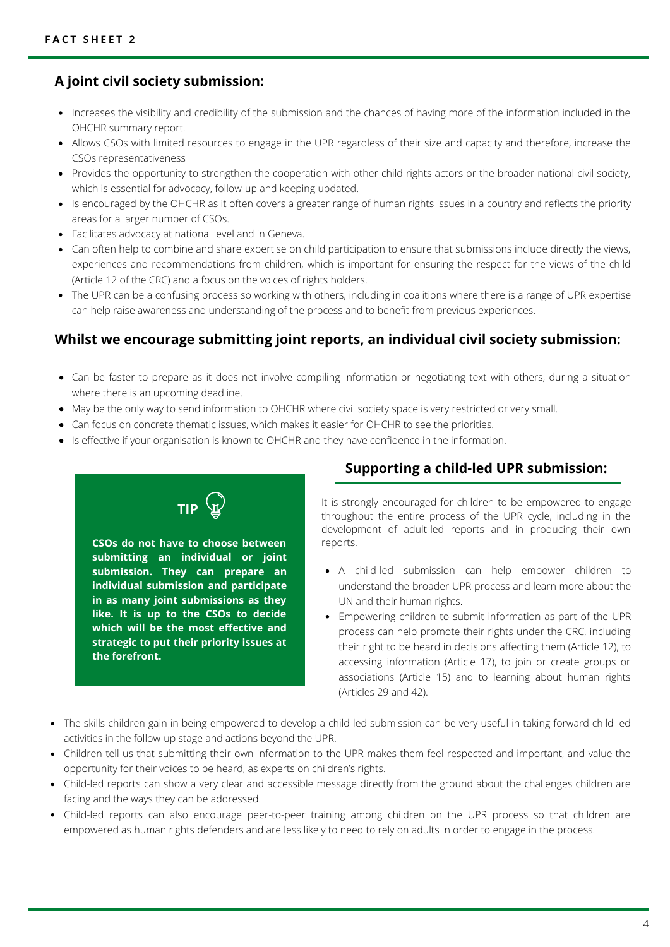## **A joint civil society submission:**

- Increases the visibility and credibility of the submission and the chances of having more of the information included in the OHCHR summary report.
- Allows CSOs with limited resources to engage in the UPR regardless of their size and capacity and therefore, increase the CSOs representativeness
- Provides the opportunity to strengthen the cooperation with other child rights actors or the broader national civil society, which is essential for advocacy, follow-up and keeping updated.
- Is encouraged by the OHCHR as it often covers a greater range of human rights issues in a country and reflects the priority areas for a larger number of CSOs.
- Facilitates advocacy at national level and in Geneva.
- Can often help to combine and share expertise on child participation to ensure that submissions include directly the views, experiences and recommendations from children, which is important for ensuring the respect for the views of the child (Article 12 of the CRC) and a focus on the voices of rights holders.
- The UPR can be a confusing process so working with others, including in coalitions where there is a range of UPR expertise can help raise awareness and understanding of the process and to benefit from previous experiences.

#### **Whilst we encourage submitting joint reports, an individual civil society submission:**

- Can be faster to prepare as it does not involve compiling information or negotiating text with others, during a situation where there is an upcoming deadline.
- May be the only way to send information to OHCHR where civil society space is very restricted or very small.
- Can focus on concrete thematic issues, which makes it easier for OHCHR to see the priorities.
- Is effective if your organisation is known to OHCHR and they have confidence in the information.



**CSOs do not have to choose between submitting an individual or joint submission. They can prepare an individual submission and participate in as many joint submissions as they like. It is up to the CSOs to decide which will be the most effective and strategic to put their priority issues at the forefront.**

## **Supporting a child-led UPR submission:**

It is strongly encouraged for children to be empowered to engage throughout the entire process of the UPR cycle, including in the development of adult-led reports and in producing their own reports.

- A child-led submission can help empower children to understand the broader UPR process and learn more about the UN and their human rights.
- Empowering children to submit information as part of the UPR process can help promote their rights under the CRC, including their right to be heard in decisions affecting them (Article 12), to accessing information (Article 17), to join or create groups or associations (Article 15) and to learning about human rights (Articles 29 and 42).
- The skills children gain in being empowered to develop a child-led submission can be very useful in taking forward child-led activities in the follow-up stage and actions beyond the UPR.
- Children tell us that submitting their own information to the UPR makes them feel respected and important, and value the opportunity for their voices to be heard, as experts on children's rights.
- Child-led reports can show a very clear and accessible message directly from the ground about the challenges children are facing and the ways they can be addressed.
- Child-led reports can also encourage peer-to-peer training among children on the UPR process so that children are empowered as human rights defenders and are less likely to need to rely on adults in order to engage in the process.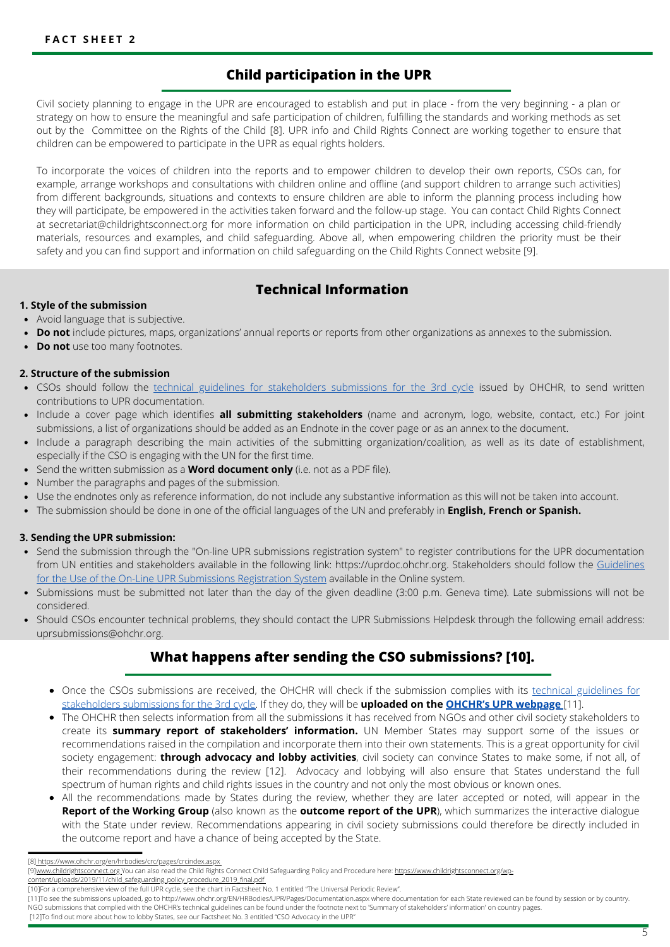#### **Child participation in the UPR**

Civil society planning to engage in the UPR are encouraged to establish and put in place - from the very beginning - a plan or strategy on how to ensure the meaningful and safe participation of children, fulfilling the standards and working methods as set out by the Committee on the Rights of the Child [8]. UPR info and Child Rights Connect are working together to ensure that children can be empowered to participate in the UPR as equal rights holders.

To incorporate the voices of children into the reports and to empower children to develop their own reports, CSOs can, for example, arrange workshops and consultations with children online and offline (and support children to arrange such activities) from different backgrounds, situations and contexts to ensure children are able to inform the planning process including how they will participate, be empowered in the activities taken forward and the follow-up stage. You can contact Child Rights Connect at secretariat@childrightsconnect.org for more information on child participation in the UPR, including accessing child-friendly materials, resources and examples, and child safeguarding. Above all, when empowering children the priority must be their safety and you can find support and information on child safeguarding on the Child Rights Connect website [9].

### **Technical Information**

#### **1. Style of the submission**

- Avoid language that is subjective.
- **Do not** include pictures, maps, organizations' annual reports or reports from other organizations as annexes to the submission.
- **Do not** use too many footnotes.

#### **2. Structure of the submission**

- CSOs should follow the [technical guidelines for stakeholders submissions for the 3rd cycle](https://www.ohchr.org/Documents/HRBodies/UPR/TechnicalGuidelines3rdCycle.docx) issued by OHCHR, to send written contributions to UPR documentation.
- Include a cover page which identifies **all submitting stakeholders** (name and acronym, logo, website, contact, etc.) For joint submissions, a list of organizations should be added as an Endnote in the cover page or as an annex to the document.
- Include a paragraph describing the main activities of the submitting organization/coalition, as well as its date of establishment, especially if the CSO is engaging with the UN for the first time.
- **Send the written submission as a <b>Word document only** (i.e. not as a PDF file).
- Number the paragraphs and pages of the submission.
- Use the endnotes only as reference information, do not include any substantive information as this will not be taken into account.
- The submission should be done in one of the official languages of the UN and preferably in **English, French or Spanish.**

#### **3. Sending the UPR submission:**

- Send the submission through the "On-line UPR submissions registration system" to register contributions for the UPR documentation from UN entities and stakeholders available in the following link: https://uprdoc.ohchr.org. Stakeholders should follow the Guidelines [for the Use of the On-Line UPR Submissions Registration System available in the Online system.](https://www.ohchr.org/Documents/HRBodies/UPR/How-to-GuideUPR_Online_Registration_System.doc)
- Submissions must be submitted not later than the day of the given deadline (3:00 p.m. Geneva time). Late submissions will not be considered.
- Should CSOs encounter technical problems, they should contact the UPR Submissions Helpdesk through the following email address: uprsubmissions@ohchr.org.

#### **What happens after sending the CSO submissions? [10].**

- Once the CSOs submissions are received, the OHCHR will check if the submission complies with its technical guidelines for [stakeholders](https://www.ohchr.org/Documents/HRBodies/UPR/TechnicalGuidelines3rdCycle.docx) submissions for the 3rd cycle. If they do, they will be **uploaded on the OHCHR's UPR [webpage](https://www.ohchr.org/EN/HRBodies/UPR/Pages/Documentation.aspx)** [\[11\].](https://www.ohchr.org/EN/HRBodies/UPR/Pages/Documentation.aspx)
- The OHCHR then selects information from all the submissions it has received from NGOs and other civil society stakeholders to create its **summary report of stakeholders' information.** UN Member States may support some of the issues or recommendations raised in the compilation and incorporate them into their own statements. This is a great opportunity for civil society engagement: **through advocacy and lobby activities**, civil society can convince States to make some, if not all, of their recommendations during the review [12]. Advocacy and lobbying will also ensure that States understand the full spectrum of human rights and child rights issues in the country and not only the most obvious or known ones.
- All the recommendations made by States during the review, whether they are later accepted or noted, will appear in the **Report of the Working Group** (also known as the **outcome report of the UPR**), which summarizes the interactive dialogue with the State under review. Recommendations appearing in civil society submissions could therefore be directly included in the outcome report and have a chance of being accepted by the State.

content/uploads/2019/11/child\_safeguarding\_policy\_procedure\_2019\_final.pdf

[<sup>\[8\]</sup> https://www.ohchr.org/en/hrbodies/crc/pages/crcindex.aspx](https://www.ohchr.org/en/hrbodies/crc/pages/crcindex.aspx)

[<sup>\[</sup>](http://www.childrightsconnect.org/)[9](https://www.childrightsconnect.org/wp-content/uploads/2019/11/child_safeguarding_policy_procedure_2019_final.pdf)[\]www.childrightsconnect.org](http://www.childrightsconnect.org/) [You can also read the Child Rights Connect Child Safeguarding Policy and Procedure here: https://www.childrightsconnect.org/wp-](https://www.childrightsconnect.org/wp-content/uploads/2019/11/child_safeguarding_policy_procedure_2019_final.pdf)

<sup>[10]</sup>For a comprehensive view of the full UPR cycle, see the chart in Factsheet No. 1 entitled "The Universal Periodic Review".

<sup>[11]</sup>To see the submissions uploaded, go to http://www.ohchr.org/EN/HRBodies/UPR/Pages/Documentation.aspx where documentation for each State reviewed can be found by session or by country. NGO submissions that complied with the OHCHR's technical guidelines can be found under the footnote next to 'Summary of stakeholders' information' on country pages

<sup>[12]</sup>To find out more about how to lobby States, see our Factsheet No. 3 entitled "CSO Advocacy in the UPR"